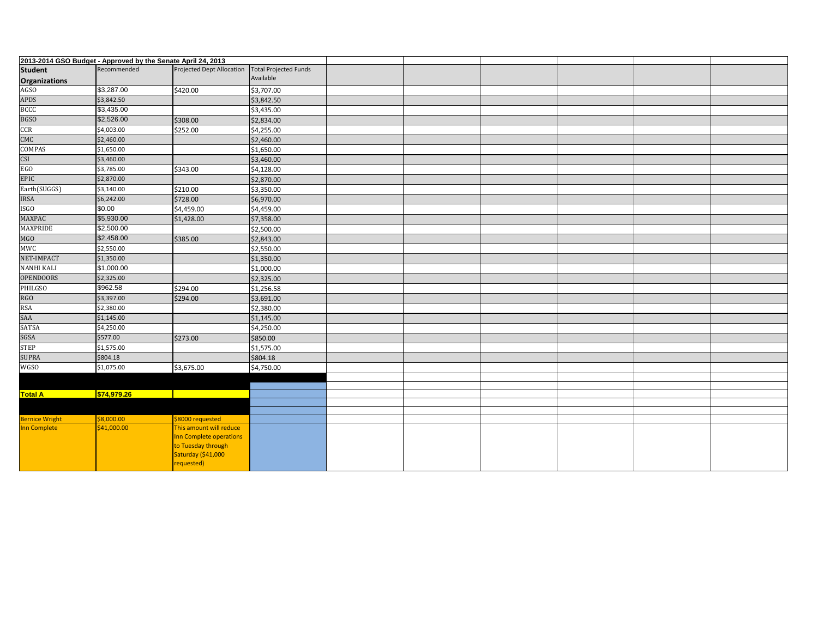| 2013-2014 GSO Budget - Approved by the Senate April 24, 2013 |             |                                                                                                              |                              |  |  |  |
|--------------------------------------------------------------|-------------|--------------------------------------------------------------------------------------------------------------|------------------------------|--|--|--|
| <b>Student</b>                                               | Recommended | Projected Dept Allocation                                                                                    | <b>Total Projected Funds</b> |  |  |  |
| <b>Organizations</b>                                         |             |                                                                                                              | Available                    |  |  |  |
| <b>AGSO</b>                                                  | \$3,287.00  | \$420.00                                                                                                     | \$3,707.00                   |  |  |  |
| <b>APDS</b>                                                  | \$3,842.50  |                                                                                                              | \$3,842.50                   |  |  |  |
| <b>BCCC</b>                                                  | \$3,435.00  |                                                                                                              | \$3,435.00                   |  |  |  |
| <b>BGSO</b>                                                  | \$2,526.00  | \$308.00                                                                                                     | \$2,834.00                   |  |  |  |
| CCR                                                          | \$4,003.00  | \$252.00                                                                                                     | \$4,255.00                   |  |  |  |
| CMC                                                          | \$2,460.00  |                                                                                                              | \$2,460.00                   |  |  |  |
| COMPAS                                                       | \$1,650.00  |                                                                                                              | \$1,650.00                   |  |  |  |
| CSI                                                          | \$3,460.00  |                                                                                                              | \$3,460.00                   |  |  |  |
| EGO                                                          | \$3,785.00  | \$343.00                                                                                                     | \$4,128.00                   |  |  |  |
| EPIC                                                         | \$2,870.00  |                                                                                                              | \$2,870.00                   |  |  |  |
| Earth(SUGGS)                                                 | \$3,140.00  | \$210.00                                                                                                     | \$3,350.00                   |  |  |  |
| IRSA                                                         | \$6,242.00  | \$728.00                                                                                                     | \$6,970.00                   |  |  |  |
| ISGO                                                         | \$0.00      | \$4,459.00                                                                                                   | \$4,459.00                   |  |  |  |
| MAXPAC                                                       | \$5,930.00  | \$1,428.00                                                                                                   | \$7,358.00                   |  |  |  |
| <b>MAXPRIDE</b>                                              | \$2,500.00  |                                                                                                              | \$2,500.00                   |  |  |  |
| MGO                                                          | \$2,458.00  | \$385.00                                                                                                     | \$2,843.00                   |  |  |  |
| MWC                                                          | \$2,550.00  |                                                                                                              | \$2,550.00                   |  |  |  |
| NET-IMPACT                                                   | \$1,350.00  |                                                                                                              | \$1,350.00                   |  |  |  |
| <b>NANHI KALI</b>                                            | \$1,000.00  |                                                                                                              | \$1,000.00                   |  |  |  |
| <b>OPENDOORS</b>                                             | \$2,325.00  |                                                                                                              | \$2,325.00                   |  |  |  |
| PHILGSO                                                      | \$962.58    | \$294.00                                                                                                     | \$1,256.58                   |  |  |  |
| <b>RGO</b>                                                   | \$3,397.00  | \$294.00                                                                                                     | \$3,691.00                   |  |  |  |
| <b>RSA</b>                                                   | \$2,380.00  |                                                                                                              | \$2,380.00                   |  |  |  |
| SAA                                                          | \$1,145.00  |                                                                                                              | \$1,145.00                   |  |  |  |
| <b>SATSA</b>                                                 | \$4,250.00  |                                                                                                              | \$4,250.00                   |  |  |  |
| SGSA                                                         | \$577.00    | \$273.00                                                                                                     | \$850.00                     |  |  |  |
| <b>STEP</b>                                                  | \$1,575.00  |                                                                                                              | \$1,575.00                   |  |  |  |
| <b>SUPRA</b>                                                 | \$804.18    |                                                                                                              | \$804.18                     |  |  |  |
| <b>WGSO</b>                                                  | \$1,075.00  | \$3,675.00                                                                                                   | \$4,750.00                   |  |  |  |
|                                                              |             |                                                                                                              |                              |  |  |  |
|                                                              |             |                                                                                                              |                              |  |  |  |
| <b>Total A</b>                                               | \$74,979.26 | <b>The Company</b>                                                                                           |                              |  |  |  |
|                                                              |             |                                                                                                              |                              |  |  |  |
| <b>Bernice Wright</b>                                        | \$8,000.00  | \$8000 requested                                                                                             |                              |  |  |  |
| Inn Complete                                                 | \$41,000.00 | This amount will reduce<br>Inn Complete operations<br>to Tuesday through<br>Saturday (\$41,000<br>requested) |                              |  |  |  |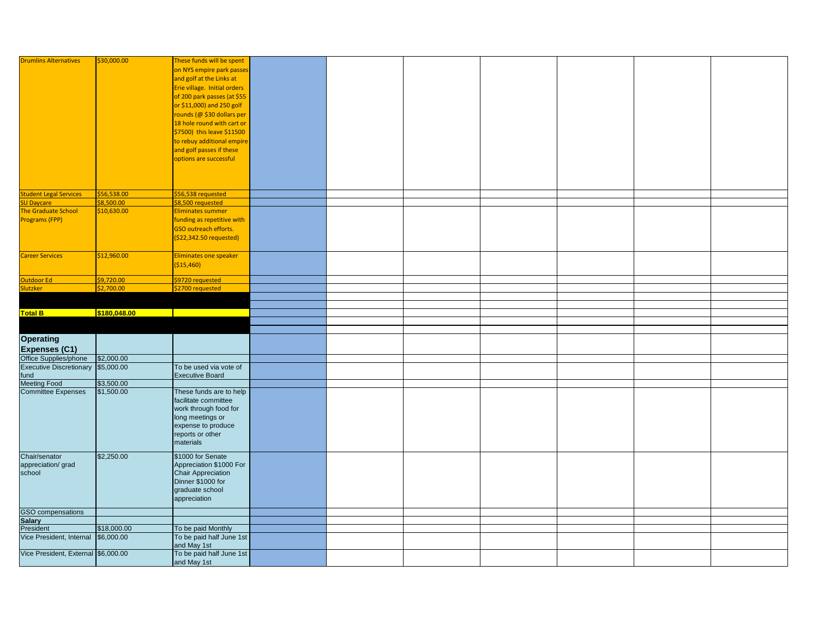| <b>Drumlins Alternatives</b>        | \$30,000.00              | These funds will be spent               |  |  |  |  |
|-------------------------------------|--------------------------|-----------------------------------------|--|--|--|--|
|                                     |                          | on NYS empire park passes               |  |  |  |  |
|                                     |                          | and golf at the Links at                |  |  |  |  |
|                                     |                          | Erie village. Initial orders            |  |  |  |  |
|                                     |                          |                                         |  |  |  |  |
|                                     |                          | of 200 park passes (at \$55             |  |  |  |  |
|                                     |                          | or \$11,000) and 250 golf               |  |  |  |  |
|                                     |                          | rounds (@ \$30 dollars per              |  |  |  |  |
|                                     |                          | 18 hole round with cart or              |  |  |  |  |
|                                     |                          | \$7500) this leave \$11500              |  |  |  |  |
|                                     |                          | to rebuy additional empire              |  |  |  |  |
|                                     |                          | and golf passes if these                |  |  |  |  |
|                                     |                          | options are successful                  |  |  |  |  |
|                                     |                          |                                         |  |  |  |  |
|                                     |                          |                                         |  |  |  |  |
|                                     |                          |                                         |  |  |  |  |
| tudent Legal Services               | \$56,538.00              | \$56,538 requested                      |  |  |  |  |
| U Daycare                           | \$8,500.00               | \$8,500 requested                       |  |  |  |  |
| The Graduate School                 | \$10,630.00              | Eliminates summer                       |  |  |  |  |
| Programs (FPP)                      |                          | funding as repetitive with              |  |  |  |  |
|                                     |                          | GSO outreach efforts.                   |  |  |  |  |
|                                     |                          |                                         |  |  |  |  |
|                                     |                          | (\$22,342.50 requested)                 |  |  |  |  |
|                                     |                          |                                         |  |  |  |  |
| <b>Career Services</b>              | \$12,960.00              | Eliminates one speaker                  |  |  |  |  |
|                                     |                          | ( \$15,460)                             |  |  |  |  |
|                                     |                          |                                         |  |  |  |  |
| Dutdoor Ed<br><b>Slutzker</b>       | \$9,720.00<br>\$2,700.00 | \$9720 requested                        |  |  |  |  |
|                                     |                          | \$2700 requested                        |  |  |  |  |
|                                     |                          |                                         |  |  |  |  |
| <b>Total B</b>                      | \$180,048.00             |                                         |  |  |  |  |
|                                     |                          |                                         |  |  |  |  |
|                                     |                          |                                         |  |  |  |  |
| <b>Operating</b>                    |                          |                                         |  |  |  |  |
|                                     |                          |                                         |  |  |  |  |
| <b>Expenses (C1)</b>                |                          |                                         |  |  |  |  |
| Office Supplies/phone               | \$2,000.00               |                                         |  |  |  |  |
| Executive Discretionary \$5,000.00  |                          | To be used via vote of                  |  |  |  |  |
| fund                                |                          | <b>Executive Board</b>                  |  |  |  |  |
| <b>Meeting Food</b>                 | \$3,500.00               |                                         |  |  |  |  |
| <b>Committee Expenses</b>           | \$1,500.00               | These funds are to help                 |  |  |  |  |
|                                     |                          | facilitate committee                    |  |  |  |  |
|                                     |                          | work through food for                   |  |  |  |  |
|                                     |                          | long meetings or                        |  |  |  |  |
|                                     |                          | expense to produce                      |  |  |  |  |
|                                     |                          | reports or other                        |  |  |  |  |
|                                     |                          | materials                               |  |  |  |  |
| Chair/senator                       | \$2,250.00               | \$1000 for Senate                       |  |  |  |  |
| appreciation/grad                   |                          | Appreciation \$1000 For                 |  |  |  |  |
| school                              |                          | <b>Chair Appreciation</b>               |  |  |  |  |
|                                     |                          | Dinner \$1000 for                       |  |  |  |  |
|                                     |                          | graduate school                         |  |  |  |  |
|                                     |                          | appreciation                            |  |  |  |  |
|                                     |                          |                                         |  |  |  |  |
| GSO compensations                   |                          |                                         |  |  |  |  |
| <b>Salary</b>                       |                          |                                         |  |  |  |  |
| President                           | \$18,000.00              | To be paid Monthly                      |  |  |  |  |
| Vice President, Internal            | \$6,000.00               | To be paid half June 1st<br>and May 1st |  |  |  |  |
|                                     |                          |                                         |  |  |  |  |
| Vice President, External \$6,000.00 |                          | To be paid half June 1st                |  |  |  |  |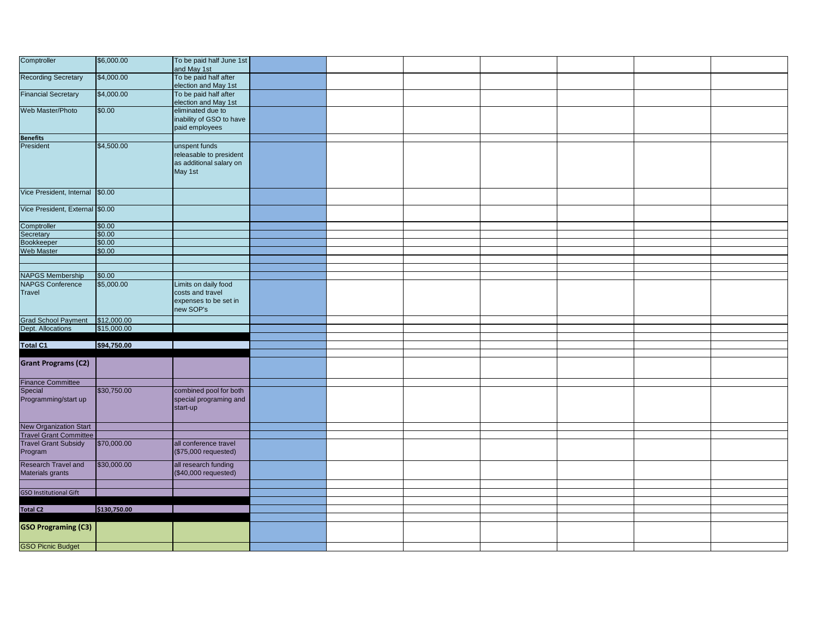| Comptroller                                                                       | \$6,000.00   | To be paid half June 1st<br>and May 1st                                        |  |  |  |  |
|-----------------------------------------------------------------------------------|--------------|--------------------------------------------------------------------------------|--|--|--|--|
| <b>Recording Secretary</b>                                                        | \$4,000.00   | To be paid half after<br>election and May 1st                                  |  |  |  |  |
| <b>Financial Secretary</b>                                                        | \$4,000.00   | To be paid half after<br>election and May 1st                                  |  |  |  |  |
| Web Master/Photo                                                                  | \$0.00       | eliminated due to<br>inability of GSO to have<br>paid employees                |  |  |  |  |
|                                                                                   |              |                                                                                |  |  |  |  |
| Benefits<br>President                                                             | \$4,500.00   | unspent funds<br>releasable to president<br>as additional salary on<br>May 1st |  |  |  |  |
| Vice President, Internal \$0.00                                                   |              |                                                                                |  |  |  |  |
| Vice President, External \$0.00                                                   |              |                                                                                |  |  |  |  |
| Comptroller                                                                       | \$0.00       |                                                                                |  |  |  |  |
| Secretary<br>Bookkeeper                                                           | \$0.00       |                                                                                |  |  |  |  |
|                                                                                   | \$0.00       |                                                                                |  |  |  |  |
| Web Master                                                                        | \$0.00       |                                                                                |  |  |  |  |
|                                                                                   |              |                                                                                |  |  |  |  |
|                                                                                   |              |                                                                                |  |  |  |  |
|                                                                                   | \$0.00       |                                                                                |  |  |  |  |
| <b>NAPGS Membership</b><br>NAPGS Conference                                       | \$5,000.00   | Limits on daily food                                                           |  |  |  |  |
| Travel                                                                            |              | costs and travel<br>expenses to be set in<br>new SOP's                         |  |  |  |  |
|                                                                                   |              |                                                                                |  |  |  |  |
| Grad School Payment \$12,000.00<br>Dept. Allocations \$15,000.00                  |              |                                                                                |  |  |  |  |
|                                                                                   |              |                                                                                |  |  |  |  |
| <b>Total C1</b>                                                                   | \$94,750.00  |                                                                                |  |  |  |  |
|                                                                                   |              |                                                                                |  |  |  |  |
| <b>Grant Programs (C2)</b>                                                        |              |                                                                                |  |  |  |  |
|                                                                                   |              |                                                                                |  |  |  |  |
| Finance Committee<br>Special<br>Programming/start up                              | \$30,750.00  | combined pool for both<br>special programing and<br>start-up                   |  |  |  |  |
|                                                                                   |              |                                                                                |  |  |  |  |
| <b>New Organization Start<br/>Travel Grant Committee<br/>Travel Grant Subsidy</b> |              |                                                                                |  |  |  |  |
|                                                                                   | \$70,000.00  | all conference travel                                                          |  |  |  |  |
| Program                                                                           |              | $($ \$75,000 requested)                                                        |  |  |  |  |
| Research Travel and<br>Materials grants                                           | \$30,000.00  | all research funding<br>(\$40,000 requested)                                   |  |  |  |  |
|                                                                                   |              |                                                                                |  |  |  |  |
| <b>GSO Institutional Gift</b>                                                     |              |                                                                                |  |  |  |  |
|                                                                                   |              |                                                                                |  |  |  |  |
| <b>Total C2</b>                                                                   | \$130,750.00 |                                                                                |  |  |  |  |
|                                                                                   |              |                                                                                |  |  |  |  |
| <b>GSO Programing (C3)</b>                                                        |              |                                                                                |  |  |  |  |
| <b>GSO Picnic Budget</b>                                                          |              |                                                                                |  |  |  |  |